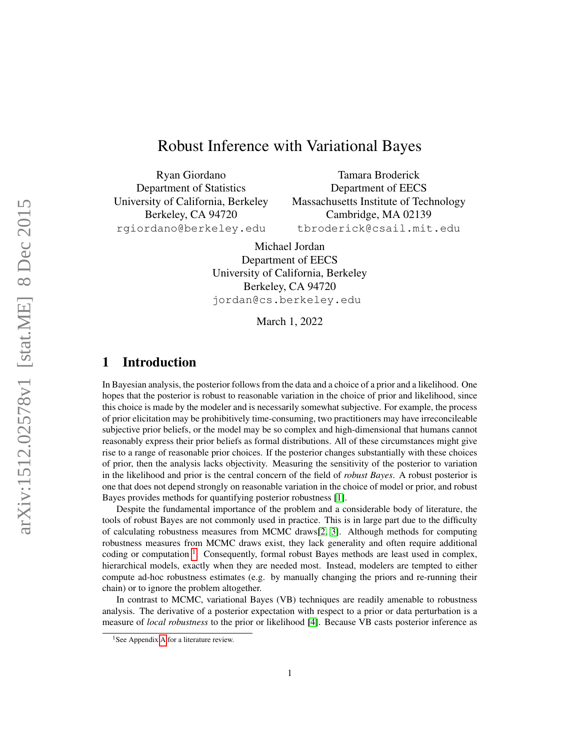## Robust Inference with Variational Bayes

Ryan Giordano Department of Statistics University of California, Berkeley Berkeley, CA 94720 rgiordano@berkeley.edu

Tamara Broderick Department of EECS Massachusetts Institute of Technology Cambridge, MA 02139 tbroderick@csail.mit.edu

Michael Jordan Department of EECS University of California, Berkeley Berkeley, CA 94720 jordan@cs.berkeley.edu

March 1, 2022

## 1 Introduction

In Bayesian analysis, the posterior follows from the data and a choice of a prior and a likelihood. One hopes that the posterior is robust to reasonable variation in the choice of prior and likelihood, since this choice is made by the modeler and is necessarily somewhat subjective. For example, the process of prior elicitation may be prohibitively time-consuming, two practitioners may have irreconcileable subjective prior beliefs, or the model may be so complex and high-dimensional that humans cannot reasonably express their prior beliefs as formal distributions. All of these circumstances might give rise to a range of reasonable prior choices. If the posterior changes substantially with these choices of prior, then the analysis lacks objectivity. Measuring the sensitivity of the posterior to variation in the likelihood and prior is the central concern of the field of *robust Bayes*. A robust posterior is one that does not depend strongly on reasonable variation in the choice of model or prior, and robust Bayes provides methods for quantifying posterior robustness [\[1\]](#page-4-0).

Despite the fundamental importance of the problem and a considerable body of literature, the tools of robust Bayes are not commonly used in practice. This is in large part due to the difficulty of calculating robustness measures from MCMC draws[\[2,](#page-4-1) [3\]](#page-4-2). Although methods for computing robustness measures from MCMC draws exist, they lack generality and often require additional coding or computation <sup>[1](#page-0-0)</sup>. Consequently, formal robust Bayes methods are least used in complex, hierarchical models, exactly when they are needed most. Instead, modelers are tempted to either compute ad-hoc robustness estimates (e.g. by manually changing the priors and re-running their chain) or to ignore the problem altogether.

In contrast to MCMC, variational Bayes (VB) techniques are readily amenable to robustness analysis. The derivative of a posterior expectation with respect to a prior or data perturbation is a measure of *local robustness* to the prior or likelihood [\[4\]](#page-4-3). Because VB casts posterior inference as

<span id="page-0-0"></span><sup>&</sup>lt;sup>1</sup>See [A](#page-6-0)ppendix A for a literature review.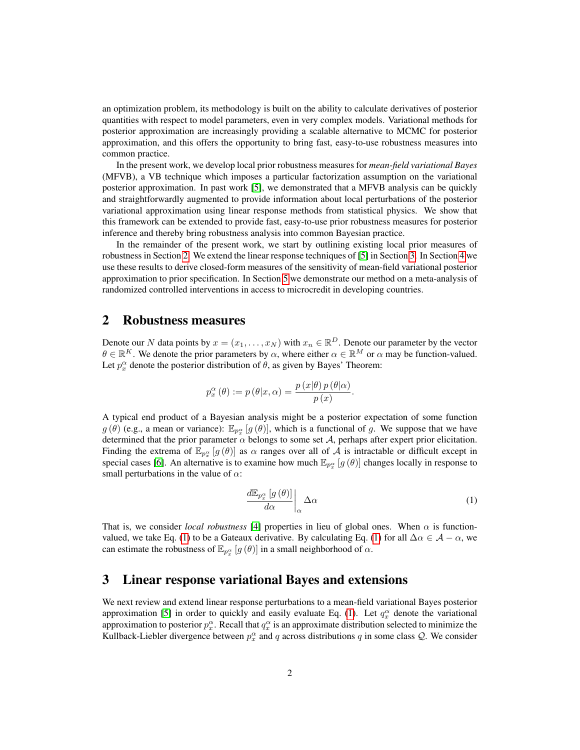an optimization problem, its methodology is built on the ability to calculate derivatives of posterior quantities with respect to model parameters, even in very complex models. Variational methods for posterior approximation are increasingly providing a scalable alternative to MCMC for posterior approximation, and this offers the opportunity to bring fast, easy-to-use robustness measures into common practice.

In the present work, we develop local prior robustness measures for *mean-field variational Bayes* (MFVB), a VB technique which imposes a particular factorization assumption on the variational posterior approximation. In past work [\[5\]](#page-4-4), we demonstrated that a MFVB analysis can be quickly and straightforwardly augmented to provide information about local perturbations of the posterior variational approximation using linear response methods from statistical physics. We show that this framework can be extended to provide fast, easy-to-use prior robustness measures for posterior inference and thereby bring robustness analysis into common Bayesian practice.

In the remainder of the present work, we start by outlining existing local prior measures of robustness in Section [2.](#page-1-0) We extend the linear response techniques of [\[5\]](#page-4-4) in Section [3.](#page-1-1) In Section [4](#page-2-0) we use these results to derive closed-form measures of the sensitivity of mean-field variational posterior approximation to prior specification. In Section [5](#page-3-0) we demonstrate our method on a meta-analysis of randomized controlled interventions in access to microcredit in developing countries.

#### <span id="page-1-0"></span>2 Robustness measures

Denote our N data points by  $x = (x_1, \dots, x_N)$  with  $x_n \in \mathbb{R}^D$ . Denote our parameter by the vector  $\theta \in \mathbb{R}^K$ . We denote the prior parameters by  $\alpha$ , where either  $\alpha \in \mathbb{R}^M$  or  $\alpha$  may be function-valued. Let  $p_x^{\alpha}$  denote the posterior distribution of  $\theta$ , as given by Bayes' Theorem:

$$
p_x^{\alpha}(\theta) := p(\theta|x,\alpha) = \frac{p(x|\theta) p(\theta|\alpha)}{p(x)}
$$

A typical end product of a Bayesian analysis might be a posterior expectation of some function  $g(\theta)$  (e.g., a mean or variance):  $\mathbb{E}_{p_x^{\alpha}}[g(\theta)]$ , which is a functional of g. We suppose that we have determined that the prior parameter  $\alpha$  belongs to some set  $\mathcal{A}$ , perhaps after expert prior elicitation. Finding the extrema of  $\mathbb{E}_{p_x^{\alpha}}[g(\theta)]$  as  $\alpha$  ranges over all of  $\mathcal A$  is intractable or difficult except in special cases [\[6\]](#page-4-5). An alternative is to examine how much  $\mathbb{E}_{p_x^{\alpha}}[g(\theta)]$  changes locally in response to small perturbations in the value of  $\alpha$ :

<span id="page-1-2"></span>
$$
\left. \frac{d\mathbb{E}_{p_x^{\alpha}}\left[g\left(\theta\right)\right]}{d\alpha} \right|_{\alpha} \Delta \alpha \tag{1}
$$

.

That is, we consider *local robustness* [\[4\]](#page-4-3) properties in lieu of global ones. When  $\alpha$  is function-valued, we take Eq. [\(1\)](#page-1-2) to be a Gateaux derivative. By calculating Eq. (1) for all  $\Delta \alpha \in \mathcal{A} - \alpha$ , we can estimate the robustness of  $\mathbb{E}_{p_x^{\alpha}}[g(\theta)]$  in a small neighborhood of  $\alpha$ .

#### <span id="page-1-1"></span>3 Linear response variational Bayes and extensions

We next review and extend linear response perturbations to a mean-field variational Bayes posterior approximation [\[5\]](#page-4-4) in order to quickly and easily evaluate Eq. [\(1\)](#page-1-2). Let  $q_x^{\alpha}$  denote the variational approximation to posterior  $p_x^{\alpha}$ . Recall that  $q_x^{\alpha}$  is an approximate distribution selected to minimize the Kullback-Liebler divergence between  $p_x^{\alpha}$  and q across distributions q in some class Q. We consider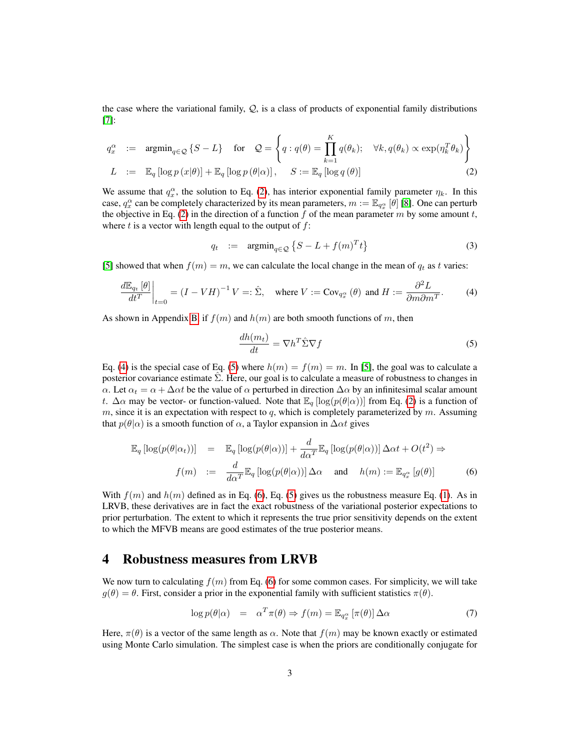the case where the variational family,  $Q$ , is a class of products of exponential family distributions [\[7\]](#page-4-6):

<span id="page-2-1"></span>
$$
q_x^{\alpha} := \operatorname{argmin}_{q \in \mathcal{Q}} \{ S - L \} \quad \text{for} \quad \mathcal{Q} = \left\{ q : q(\theta) = \prod_{k=1}^{K} q(\theta_k); \quad \forall k, q(\theta_k) \propto \exp(\eta_k^T \theta_k) \right\}
$$
  

$$
L := \mathbb{E}_q \left[ \log p(x|\theta) \right] + \mathbb{E}_q \left[ \log p(\theta|\alpha) \right], \quad S := \mathbb{E}_q \left[ \log q(\theta) \right]
$$
 (2)

We assume that  $q_x^{\alpha}$ , the solution to Eq. [\(2\)](#page-2-1), has interior exponential family parameter  $\eta_k$ . In this case,  $q_x^{\alpha}$  can be completely characterized by its mean parameters,  $m := \mathbb{E}_{q_x^{\alpha}}[\theta]$  [\[8\]](#page-4-7). One can perturb the objective in Eq. [\(2\)](#page-2-1) in the direction of a function f of the mean parameter m by some amount t, where  $t$  is a vector with length equal to the output of  $f$ :

$$
q_t := \operatorname{argmin}_{q \in \mathcal{Q}} \left\{ S - L + f(m)^T t \right\} \tag{3}
$$

[\[5\]](#page-4-4) showed that when  $f(m) = m$ , we can calculate the local change in the mean of  $q_t$  as t varies:

<span id="page-2-2"></span>
$$
\left. \frac{d\mathbb{E}_{q_t}[\theta]}{dt^T} \right|_{t=0} = \left( I - V H \right)^{-1} V =: \hat{\Sigma}, \quad \text{where } V := \text{Cov}_{q_x^{\alpha}}(\theta) \text{ and } H := \frac{\partial^2 L}{\partial m \partial m^T}.
$$
 (4)

As shown in Appendix [B,](#page-6-1) if  $f(m)$  and  $h(m)$  are both smooth functions of m, then

<span id="page-2-3"></span>
$$
\frac{dh(m_t)}{dt} = \nabla h^T \hat{\Sigma} \nabla f \tag{5}
$$

Eq. [\(4\)](#page-2-2) is the special case of Eq. [\(5\)](#page-2-3) where  $h(m) = f(m) = m$ . In [\[5\]](#page-4-4), the goal was to calculate a posterior covariance estimate  $\Sigma$ . Here, our goal is to calculate a measure of robustness to changes in  $\alpha$ . Let  $\alpha_t = \alpha + \Delta \alpha t$  be the value of  $\alpha$  perturbed in direction  $\Delta \alpha$  by an infinitesimal scalar amount t.  $\Delta \alpha$  may be vector- or function-valued. Note that  $\mathbb{E}_q [\log(p(\theta|\alpha))]$  from Eq. [\(2\)](#page-2-1) is a function of  $m$ , since it is an expectation with respect to q, which is completely parameterized by  $m$ . Assuming that  $p(\theta|\alpha)$  is a smooth function of  $\alpha$ , a Taylor expansion in  $\Delta \alpha t$  gives

<span id="page-2-4"></span>
$$
\mathbb{E}_{q} \left[ \log(p(\theta|\alpha_{t})) \right] = \mathbb{E}_{q} \left[ \log(p(\theta|\alpha)) \right] + \frac{d}{d\alpha^{T}} \mathbb{E}_{q} \left[ \log(p(\theta|\alpha)) \right] \Delta \alpha t + O(t^{2}) \Rightarrow
$$

$$
f(m) := \frac{d}{d\alpha^{T}} \mathbb{E}_{q} \left[ \log(p(\theta|\alpha)) \right] \Delta \alpha \quad \text{and} \quad h(m) := \mathbb{E}_{q_{x}^{\alpha}} \left[ g(\theta) \right] \tag{6}
$$

With  $f(m)$  and  $h(m)$  defined as in Eq. [\(6\)](#page-2-4), Eq. [\(5\)](#page-2-3) gives us the robustness measure Eq. [\(1\)](#page-1-2). As in LRVB, these derivatives are in fact the exact robustness of the variational posterior expectations to prior perturbation. The extent to which it represents the true prior sensitivity depends on the extent to which the MFVB means are good estimates of the true posterior means.

#### <span id="page-2-0"></span>4 Robustness measures from LRVB

We now turn to calculating  $f(m)$  from Eq. [\(6\)](#page-2-4) for some common cases. For simplicity, we will take  $g(\theta) = \theta$ . First, consider a prior in the exponential family with sufficient statistics  $\pi(\theta)$ .

<span id="page-2-5"></span>
$$
\log p(\theta|\alpha) = \alpha^T \pi(\theta) \Rightarrow f(m) = \mathbb{E}_{q_x^{\alpha}} [\pi(\theta)] \Delta \alpha \tag{7}
$$

Here,  $\pi(\theta)$  is a vector of the same length as  $\alpha$ . Note that  $f(m)$  may be known exactly or estimated using Monte Carlo simulation. The simplest case is when the priors are conditionally conjugate for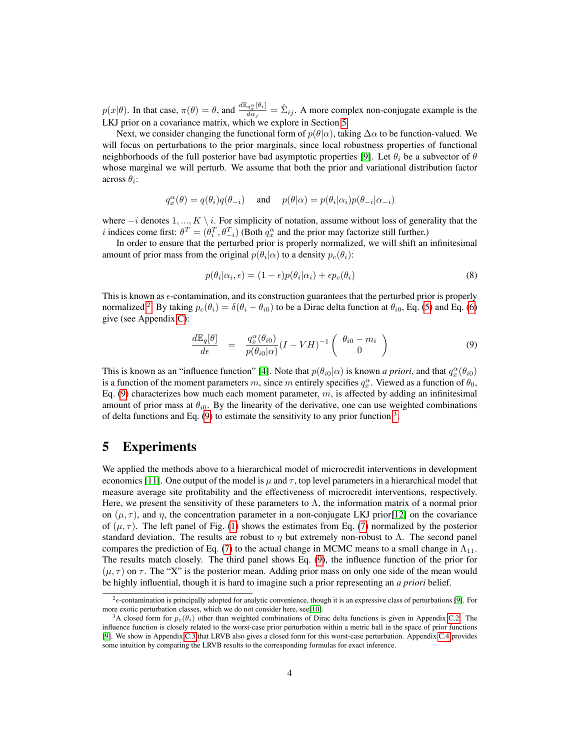$p(x|\theta)$ . In that case,  $\pi(\theta) = \theta$ , and  $\frac{d\mathbb{E}_{q_x^{\alpha}}[\theta_i]}{d\alpha}$  $\frac{d q_x^{\alpha} |\theta_i|}{d \alpha_j} = \hat{\Sigma}_{ij}$ . A more complex non-conjugate example is the LKJ prior on a covariance matrix, which we explore in Section [5.](#page-3-0)

Next, we consider changing the functional form of  $p(\theta|\alpha)$ , taking  $\Delta\alpha$  to be function-valued. We will focus on perturbations to the prior marginals, since local robustness properties of functional neighborhoods of the full posterior have bad asymptotic properties [\[9\]](#page-4-8). Let  $\theta_i$  be a subvector of  $\theta$ whose marginal we will perturb. We assume that both the prior and variational distribution factor across  $\theta_i$ :

$$
q_x^{\alpha}(\theta)=q(\theta_i)q(\theta_{-i})\quad \text{ and }\quad p(\theta|\alpha)=p(\theta_i|\alpha_i)p(\theta_{-i}|\alpha_{-i})
$$

where  $-i$  denotes  $1, ..., K \setminus i$ . For simplicity of notation, assume without loss of generality that the *i* indices come first:  $\theta^T = (\theta_i^T, \theta_{-i}^T)$  (Both  $q_x^{\alpha}$  and the prior may factorize still further.)

In order to ensure that the perturbed prior is properly normalized, we will shift an infinitesimal amount of prior mass from the original  $p(\theta_i|\alpha)$  to a density  $p_c(\theta_i)$ :

<span id="page-3-4"></span>
$$
p(\theta_i|\alpha_i,\epsilon) = (1-\epsilon)p(\theta_i|\alpha_i) + \epsilon p_c(\theta_i)
$$
\n(8)

This is known as  $\epsilon$ -contamination, and its construction guarantees that the perturbed prior is properly normalized <sup>[2](#page-3-1)</sup>. By taking  $p_c(\theta_i) = \delta(\theta_i - \theta_{i0})$  to be a Dirac delta function at  $\theta_{i0}$ , Eq. [\(5\)](#page-2-3) and Eq. [\(6\)](#page-2-4) give (see Appendix [C\)](#page-8-0):

<span id="page-3-2"></span>
$$
\frac{d\mathbb{E}_q[\theta]}{d\epsilon} = \frac{q_x^{\alpha}(\theta_{i0})}{p(\theta_{i0}|\alpha)}(I - VH)^{-1} \begin{pmatrix} \theta_{i0} - m_i \\ 0 \end{pmatrix}
$$
\n(9)

This is known as an "influence function" [\[4\]](#page-4-3). Note that  $p(\theta_{i0}|\alpha)$  is known *a priori*, and that  $q_x^{\alpha}(\theta_{i0})$ is a function of the moment parameters m, since m entirely specifies  $q_x^{\alpha}$ . Viewed as a function of  $\theta_0$ , Eq.  $(9)$  characterizes how much each moment parameter, m, is affected by adding an infinitesimal amount of prior mass at  $\theta_{i0}$ . By the linearity of the derivative, one can use weighted combinations of delta functions and Eq. [\(9\)](#page-3-2) to estimate the sensitivity to any prior function  $3$ .

## <span id="page-3-0"></span>5 Experiments

We applied the methods above to a hierarchical model of microcredit interventions in development economics [\[11\]](#page-4-9). One output of the model is  $\mu$  and  $\tau$ , top level parameters in a hierarchical model that measure average site profitability and the effectiveness of microcredit interventions, respectively. Here, we present the sensitivity of these parameters to  $\Lambda$ , the information matrix of a normal prior on  $(\mu, \tau)$ , and  $\eta$ , the concentration parameter in a non-conjugate LKJ prior [\[12\]](#page-4-10) on the covariance of  $(\mu, \tau)$ . The left panel of Fig. [\(1\)](#page-4-11) shows the estimates from Eq. [\(7\)](#page-2-5) normalized by the posterior standard deviation. The results are robust to  $\eta$  but extremely non-robust to  $\Lambda$ . The second panel compares the prediction of Eq. [\(7\)](#page-2-5) to the actual change in MCMC means to a small change in  $\Lambda_{11}$ . The results match closely. The third panel shows Eq. [\(9\)](#page-3-2), the influence function of the prior for  $(\mu, \tau)$  on  $\tau$ . The "X" is the posterior mean. Adding prior mass on only one side of the mean would be highly influential, though it is hard to imagine such a prior representing an *a priori* belief.

<span id="page-3-1"></span> $e^2 \epsilon$ -contamination is principally adopted for analytic convenience, though it is an expressive class of perturbations [\[9\]](#page-4-8). For more exotic perturbation classes, which we do not consider here, see[\[10\]](#page-4-12).

<span id="page-3-3"></span><sup>&</sup>lt;sup>3</sup>A closed form for  $p_c(\theta_i)$  other than weighted combinations of Dirac delta functions is given in Appendix [C.2.](#page-8-1) The influence function is closely related to the worst-case prior perturbation within a metric ball in the space of prior functions [\[9\]](#page-4-8). We show in Appendix [C.3](#page-9-0) that LRVB also gives a closed form for this worst-case perturbation. Appendix [C.4](#page-10-0) provides some intuition by comparing the LRVB results to the corresponding formulas for exact inference.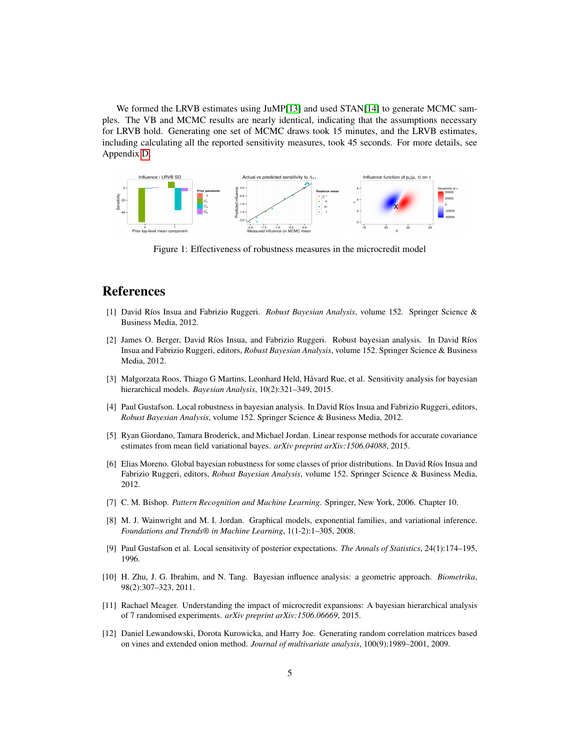We formed the LRVB estimates using JuMP[\[13\]](#page-5-0) and used STAN[\[14\]](#page-5-1) to generate MCMC samples. The VB and MCMC results are nearly identical, indicating that the assumptions necessary for LRVB hold. Generating one set of MCMC draws took 15 minutes, and the LRVB estimates, including calculating all the reported sensitivity measures, took 45 seconds. For more details, see Appendix [D.](#page-10-1)

<span id="page-4-11"></span>

Figure 1: Effectiveness of robustness measures in the microcredit model

## **References**

- <span id="page-4-0"></span>[1] David R´ıos Insua and Fabrizio Ruggeri. *Robust Bayesian Analysis*, volume 152. Springer Science & Business Media, 2012.
- <span id="page-4-1"></span>[2] James O. Berger, David Ríos Insua, and Fabrizio Ruggeri. Robust bayesian analysis. In David Ríos Insua and Fabrizio Ruggeri, editors, *Robust Bayesian Analysis*, volume 152. Springer Science & Business Media, 2012.
- <span id="page-4-2"></span>[3] Małgorzata Roos, Thiago G Martins, Leonhard Held, Håvard Rue, et al. Sensitivity analysis for bayesian hierarchical models. *Bayesian Analysis*, 10(2):321–349, 2015.
- <span id="page-4-3"></span>[4] Paul Gustafson. Local robustness in bayesian analysis. In David Ríos Insua and Fabrizio Ruggeri, editors, *Robust Bayesian Analysis*, volume 152. Springer Science & Business Media, 2012.
- <span id="page-4-4"></span>[5] Ryan Giordano, Tamara Broderick, and Michael Jordan. Linear response methods for accurate covariance estimates from mean field variational bayes. *arXiv preprint arXiv:1506.04088*, 2015.
- <span id="page-4-5"></span>[6] Elias Moreno. Global bayesian robustness for some classes of prior distributions. In David Ríos Insua and Fabrizio Ruggeri, editors, *Robust Bayesian Analysis*, volume 152. Springer Science & Business Media, 2012.
- <span id="page-4-6"></span>[7] C. M. Bishop. *Pattern Recognition and Machine Learning*. Springer, New York, 2006. Chapter 10.
- <span id="page-4-7"></span>[8] M. J. Wainwright and M. I. Jordan. Graphical models, exponential families, and variational inference. *Foundations and Trends® in Machine Learning*, 1(1-2):1–305, 2008.
- <span id="page-4-8"></span>[9] Paul Gustafson et al. Local sensitivity of posterior expectations. *The Annals of Statistics*, 24(1):174–195, 1996.
- <span id="page-4-12"></span>[10] H. Zhu, J. G. Ibrahim, and N. Tang. Bayesian influence analysis: a geometric approach. *Biometrika*, 98(2):307–323, 2011.
- <span id="page-4-9"></span>[11] Rachael Meager. Understanding the impact of microcredit expansions: A bayesian hierarchical analysis of 7 randomised experiments. *arXiv preprint arXiv:1506.06669*, 2015.
- <span id="page-4-10"></span>[12] Daniel Lewandowski, Dorota Kurowicka, and Harry Joe. Generating random correlation matrices based on vines and extended onion method. *Journal of multivariate analysis*, 100(9):1989–2001, 2009.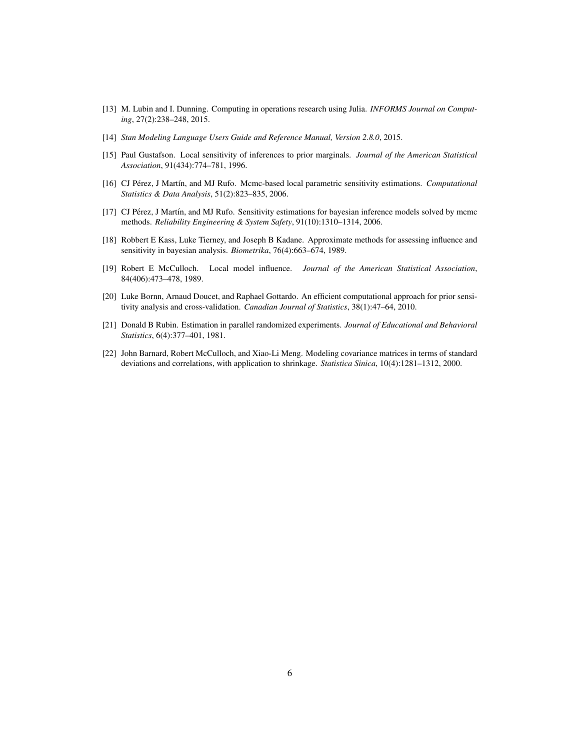- <span id="page-5-0"></span>[13] M. Lubin and I. Dunning. Computing in operations research using Julia. *INFORMS Journal on Computing*, 27(2):238–248, 2015.
- <span id="page-5-1"></span>[14] *Stan Modeling Language Users Guide and Reference Manual, Version 2.8.0*, 2015.
- <span id="page-5-2"></span>[15] Paul Gustafson. Local sensitivity of inferences to prior marginals. *Journal of the American Statistical Association*, 91(434):774–781, 1996.
- <span id="page-5-3"></span>[16] CJ Pérez, J Martín, and MJ Rufo. Mcmc-based local parametric sensitivity estimations. *Computational Statistics & Data Analysis*, 51(2):823–835, 2006.
- <span id="page-5-4"></span>[17] CJ Pérez, J Martín, and MJ Rufo. Sensitivity estimations for bayesian inference models solved by mcmc methods. *Reliability Engineering & System Safety*, 91(10):1310–1314, 2006.
- <span id="page-5-5"></span>[18] Robbert E Kass, Luke Tierney, and Joseph B Kadane. Approximate methods for assessing influence and sensitivity in bayesian analysis. *Biometrika*, 76(4):663–674, 1989.
- <span id="page-5-6"></span>[19] Robert E McCulloch. Local model influence. *Journal of the American Statistical Association*, 84(406):473–478, 1989.
- <span id="page-5-7"></span>[20] Luke Bornn, Arnaud Doucet, and Raphael Gottardo. An efficient computational approach for prior sensitivity analysis and cross-validation. *Canadian Journal of Statistics*, 38(1):47–64, 2010.
- <span id="page-5-8"></span>[21] Donald B Rubin. Estimation in parallel randomized experiments. *Journal of Educational and Behavioral Statistics*, 6(4):377–401, 1981.
- <span id="page-5-9"></span>[22] John Barnard, Robert McCulloch, and Xiao-Li Meng. Modeling covariance matrices in terms of standard deviations and correlations, with application to shrinkage. *Statistica Sinica*, 10(4):1281–1312, 2000.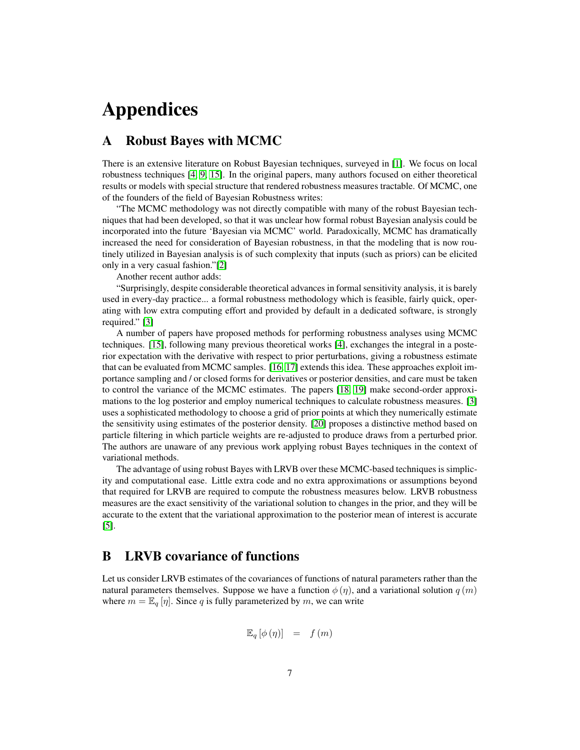# Appendices

## <span id="page-6-0"></span>A Robust Bayes with MCMC

There is an extensive literature on Robust Bayesian techniques, surveyed in [\[1\]](#page-4-0). We focus on local robustness techniques [\[4,](#page-4-3) [9,](#page-4-8) [15\]](#page-5-2). In the original papers, many authors focused on either theoretical results or models with special structure that rendered robustness measures tractable. Of MCMC, one of the founders of the field of Bayesian Robustness writes:

"The MCMC methodology was not directly compatible with many of the robust Bayesian techniques that had been developed, so that it was unclear how formal robust Bayesian analysis could be incorporated into the future 'Bayesian via MCMC' world. Paradoxically, MCMC has dramatically increased the need for consideration of Bayesian robustness, in that the modeling that is now routinely utilized in Bayesian analysis is of such complexity that inputs (such as priors) can be elicited only in a very casual fashion."[\[2\]](#page-4-1)

Another recent author adds:

"Surprisingly, despite considerable theoretical advances in formal sensitivity analysis, it is barely used in every-day practice... a formal robustness methodology which is feasible, fairly quick, operating with low extra computing effort and provided by default in a dedicated software, is strongly required." [\[3\]](#page-4-2)

A number of papers have proposed methods for performing robustness analyses using MCMC techniques. [\[15\]](#page-5-2), following many previous theoretical works [\[4\]](#page-4-3), exchanges the integral in a posterior expectation with the derivative with respect to prior perturbations, giving a robustness estimate that can be evaluated from MCMC samples. [\[16,](#page-5-3) [17\]](#page-5-4) extends this idea. These approaches exploit importance sampling and / or closed forms for derivatives or posterior densities, and care must be taken to control the variance of the MCMC estimates. The papers [\[18,](#page-5-5) [19\]](#page-5-6) make second-order approximations to the log posterior and employ numerical techniques to calculate robustness measures. [\[3\]](#page-4-2) uses a sophisticated methodology to choose a grid of prior points at which they numerically estimate the sensitivity using estimates of the posterior density. [\[20\]](#page-5-7) proposes a distinctive method based on particle filtering in which particle weights are re-adjusted to produce draws from a perturbed prior. The authors are unaware of any previous work applying robust Bayes techniques in the context of variational methods.

The advantage of using robust Bayes with LRVB over these MCMC-based techniques is simplicity and computational ease. Little extra code and no extra approximations or assumptions beyond that required for LRVB are required to compute the robustness measures below. LRVB robustness measures are the exact sensitivity of the variational solution to changes in the prior, and they will be accurate to the extent that the variational approximation to the posterior mean of interest is accurate [\[5\]](#page-4-4).

## <span id="page-6-1"></span>B LRVB covariance of functions

Let us consider LRVB estimates of the covariances of functions of natural parameters rather than the natural parameters themselves. Suppose we have a function  $\phi(\eta)$ , and a variational solution  $q(m)$ where  $m = \mathbb{E}_q[\eta]$ . Since q is fully parameterized by m, we can write

$$
\mathbb{E}_{q}\left[\phi\left(\eta\right)\right] = f\left(m\right)
$$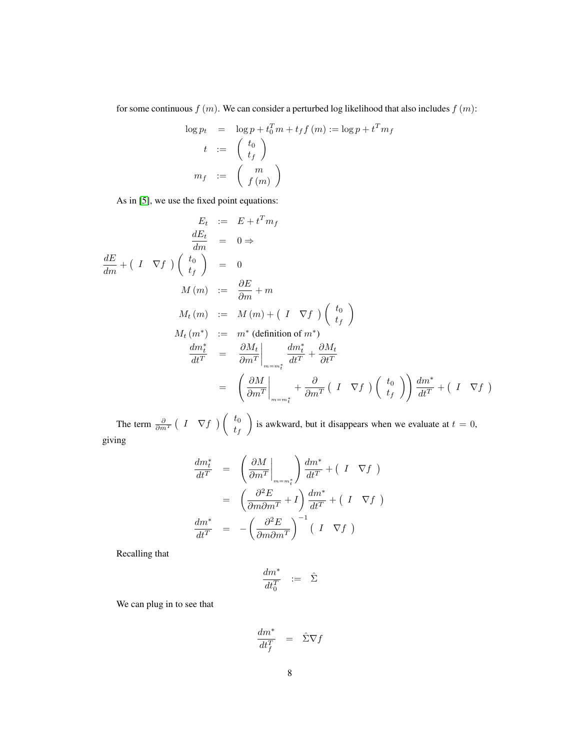for some continuous  $f(m)$ . We can consider a perturbed log likelihood that also includes  $f(m)$ :

$$
\log p_t = \log p + t_0^T m + t_f f(m) := \log p + t^T m_f
$$
  
\n
$$
t := \begin{pmatrix} t_0 \\ t_f \end{pmatrix}
$$
  
\n
$$
m_f := \begin{pmatrix} m \\ f(m) \end{pmatrix}
$$

As in [\[5\]](#page-4-4), we use the fixed point equations:

$$
E_t := E + t^T m_f
$$
  
\n
$$
\frac{dE_t}{dm} = 0 \Rightarrow
$$
  
\n
$$
\frac{dE}{dm} + (I \nabla f) \begin{pmatrix} t_0 \\ t_f \end{pmatrix} = 0
$$
  
\n
$$
M(m) := \frac{\partial E}{\partial m} + m
$$
  
\n
$$
M_t(m) := M(m) + (I \nabla f) \begin{pmatrix} t_0 \\ t_f \end{pmatrix}
$$
  
\n
$$
M_t(m^*) := m^* (\text{definition of } m^*)
$$
  
\n
$$
\frac{dm_t^*}{dt^T} = \frac{\partial M_t}{\partial m^T} \Big|_{m = m_t^*} \frac{dm_t^*}{dt^T} + \frac{\partial M_t}{\partial t^T}
$$
  
\n
$$
= \left(\frac{\partial M}{\partial m^T} \Big|_{m = m_t^*} + \frac{\partial}{\partial m^T} (I \nabla f) \begin{pmatrix} t_0 \\ t_f \end{pmatrix} \right) \frac{dm^*}{dt^T} + (I \nabla f)
$$

The term  $\frac{\partial}{\partial m^T} \left( I - \nabla f \right) \begin{pmatrix} t_0 \\ t_f \end{pmatrix}$  $t_f$ is awkward, but it disappears when we evaluate at  $t = 0$ , giving

$$
\frac{dm_t^*}{dt^T} = \left(\frac{\partial M}{\partial m^T}\bigg|_{m=m_t^*}\right) \frac{dm^*}{dt^T} + \left(I \nabla f\right)
$$
\n
$$
= \left(\frac{\partial^2 E}{\partial m \partial m^T} + I\right) \frac{dm^*}{dt^T} + \left(I \nabla f\right)
$$
\n
$$
\frac{dm^*}{dt^T} = -\left(\frac{\partial^2 E}{\partial m \partial m^T}\right)^{-1} \left(I \nabla f\right)
$$

Recalling that

$$
\frac{dm^*}{dt_0^T} \quad := \quad \hat{\Sigma}
$$

We can plug in to see that

$$
\frac{dm^*}{dt_f^T} = \hat{\Sigma}\nabla f
$$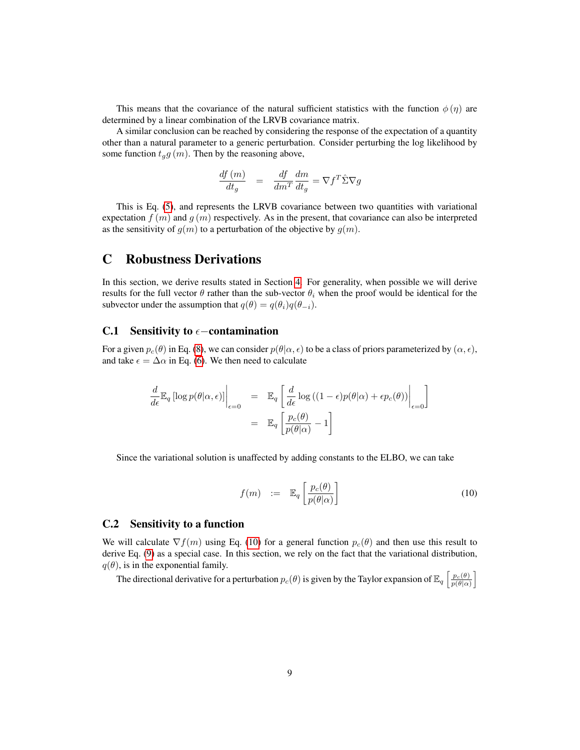This means that the covariance of the natural sufficient statistics with the function  $\phi(\eta)$  are determined by a linear combination of the LRVB covariance matrix.

A similar conclusion can be reached by considering the response of the expectation of a quantity other than a natural parameter to a generic perturbation. Consider perturbing the log likelihood by some function  $t_g g(m)$ . Then by the reasoning above,

$$
\frac{df\left( m\right) }{dt_{g}}\quad =\quad \frac{df}{dm^{T}}\frac{dm}{dt_{g}}=\nabla f^{T}\hat{\Sigma}\nabla g
$$

This is Eq. [\(5\)](#page-2-3), and represents the LRVB covariance between two quantities with variational expectation  $f(m)$  and  $g(m)$  respectively. As in the present, that covariance can also be interpreted as the sensitivity of  $g(m)$  to a perturbation of the objective by  $g(m)$ .

### <span id="page-8-0"></span>C Robustness Derivations

In this section, we derive results stated in Section [4.](#page-2-0) For generality, when possible we will derive results for the full vector  $\theta$  rather than the sub-vector  $\theta_i$  when the proof would be identical for the subvector under the assumption that  $q(\theta) = q(\theta_i)q(\theta_{-i}).$ 

#### C.1 Sensitivity to  $\epsilon$  – contamination

For a given  $p_c(\theta)$  in Eq. [\(8\)](#page-3-4), we can consider  $p(\theta|\alpha, \epsilon)$  to be a class of priors parameterized by  $(\alpha, \epsilon)$ , and take  $\epsilon = \Delta \alpha$  in Eq. [\(6\)](#page-2-4). We then need to calculate

$$
\frac{d}{d\epsilon} \mathbb{E}_q [\log p(\theta | \alpha, \epsilon)] \Big|_{\epsilon=0} = \mathbb{E}_q \left[ \frac{d}{d\epsilon} \log ((1 - \epsilon) p(\theta | \alpha) + \epsilon p_c(\theta)) \Big|_{\epsilon=0} \right]
$$

$$
= \mathbb{E}_q \left[ \frac{p_c(\theta)}{p(\theta | \alpha)} - 1 \right]
$$

Since the variational solution is unaffected by adding constants to the ELBO, we can take

<span id="page-8-2"></span>
$$
f(m) := \mathbb{E}_q \left[ \frac{p_c(\theta)}{p(\theta|\alpha)} \right] \tag{10}
$$

#### <span id="page-8-1"></span>C.2 Sensitivity to a function

We will calculate  $\nabla f(m)$  using Eq. [\(10\)](#page-8-2) for a general function  $p_c(\theta)$  and then use this result to derive Eq. [\(9\)](#page-3-2) as a special case. In this section, we rely on the fact that the variational distribution,  $q(\theta)$ , is in the exponential family.

The directional derivative for a perturbation  $p_c(\theta)$  is given by the Taylor expansion of  $\mathbb{E}_q\left[\frac{p_c(\theta)}{p(\theta|\alpha)}\right]$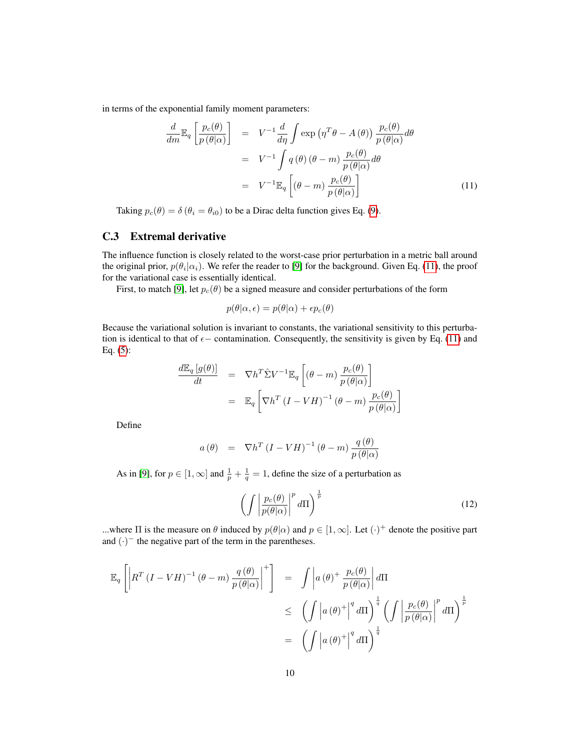in terms of the exponential family moment parameters:

<span id="page-9-1"></span>
$$
\frac{d}{dm}\mathbb{E}_q\left[\frac{p_c(\theta)}{p(\theta|\alpha)}\right] = V^{-1}\frac{d}{d\eta}\int \exp\left(\eta^T\theta - A(\theta)\right)\frac{p_c(\theta)}{p(\theta|\alpha)}d\theta
$$

$$
= V^{-1}\int q(\theta)(\theta - m)\frac{p_c(\theta)}{p(\theta|\alpha)}d\theta
$$

$$
= V^{-1}\mathbb{E}_q\left[(\theta - m)\frac{p_c(\theta)}{p(\theta|\alpha)}\right]
$$
(11)

Taking  $p_c(\theta) = \delta(\theta_i = \theta_{i0})$  to be a Dirac delta function gives Eq. [\(9\)](#page-3-2).

#### <span id="page-9-0"></span>C.3 Extremal derivative

The influence function is closely related to the worst-case prior perturbation in a metric ball around the original prior,  $p(\theta_i|\alpha_i)$ . We refer the reader to [\[9\]](#page-4-8) for the background. Given Eq. [\(11\)](#page-9-1), the proof for the variational case is essentially identical.

First, to match [\[9\]](#page-4-8), let  $p_c(\theta)$  be a signed measure and consider perturbations of the form

$$
p(\theta|\alpha,\epsilon) = p(\theta|\alpha) + \epsilon p_c(\theta)
$$

Because the variational solution is invariant to constants, the variational sensitivity to this perturbation is identical to that of  $\epsilon$  – contamination. Consequently, the sensitivity is given by Eq. [\(11\)](#page-9-1) and Eq. [\(5\)](#page-2-3):

$$
\frac{d\mathbb{E}_q [g(\theta)]}{dt} = \nabla h^T \hat{\Sigma} V^{-1} \mathbb{E}_q \left[ (\theta - m) \frac{p_c(\theta)}{p(\theta|\alpha)} \right]
$$
\n
$$
= \mathbb{E}_q \left[ \nabla h^T (I - VH)^{-1} (\theta - m) \frac{p_c(\theta)}{p(\theta|\alpha)} \right]
$$

Define

$$
a(\theta) = \nabla h^T (I - VH)^{-1} (\theta - m) \frac{q(\theta)}{p(\theta|\alpha)}
$$

As in [\[9\]](#page-4-8), for  $p \in [1, \infty]$  and  $\frac{1}{p} + \frac{1}{q} = 1$ , define the size of a perturbation as

$$
\left(\int \left|\frac{p_c(\theta)}{p(\theta|\alpha)}\right|^p d\Pi\right)^{\frac{1}{p}}\tag{12}
$$

...where  $\Pi$  is the measure on  $\theta$  induced by  $p(\theta|\alpha)$  and  $p \in [1,\infty]$ . Let  $(\cdot)^+$  denote the positive part and  $(\cdot)^-$  the negative part of the term in the parentheses.

$$
\mathbb{E}_{q} \left[ \left| R^{T} \left( I - V H \right)^{-1} \left( \theta - m \right) \frac{q \left( \theta \right)}{p \left( \theta | \alpha \right)} \right|^{+} \right] = \int \left| a \left( \theta \right)^{+} \frac{p_{c}(\theta)}{p \left( \theta | \alpha \right)} \right| d\Pi
$$
\n
$$
\leq \left( \int \left| a \left( \theta \right)^{+} \right|^{q} d\Pi \right)^{\frac{1}{q}} \left( \int \left| \frac{p_{c}(\theta)}{p \left( \theta | \alpha \right)} \right|^{p} d\Pi \right)^{\frac{1}{p}}
$$
\n
$$
= \left( \int \left| a \left( \theta \right)^{+} \right|^{q} d\Pi \right)^{\frac{1}{q}}
$$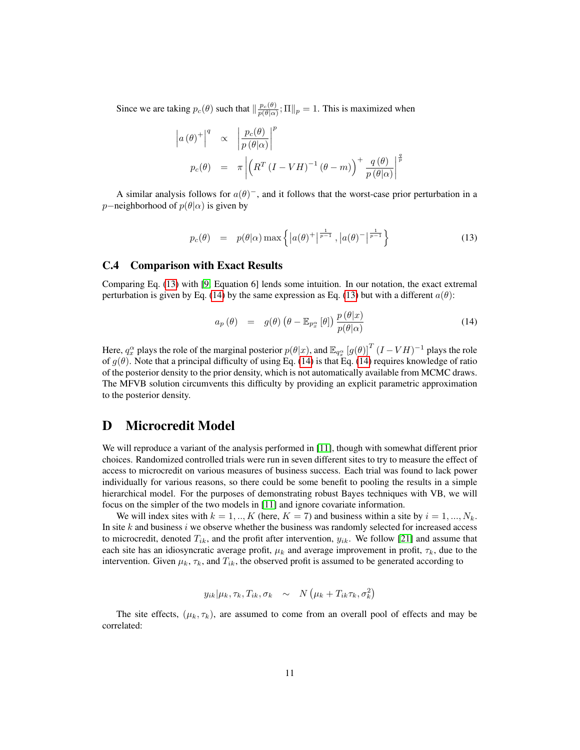Since we are taking  $p_c(\theta)$  such that  $\|\frac{p_c(\theta)}{p(\theta|\alpha)}$ ;  $\Pi\|_p = 1$ . This is maximized when

$$
\begin{array}{rcl}\n\left| a\left(\theta\right)^{+}\right|^{q} & \propto & \left| \frac{p_{c}(\theta)}{p\left(\theta|\alpha\right)}\right|^{p} \\
p_{c}(\theta) & = & \pi \left| \left(R^{T}\left(I-VH\right)^{-1}\left(\theta-m\right)\right)^{+}\frac{q\left(\theta\right)}{p\left(\theta|\alpha\right)}\right|^{q}\n\end{array}
$$

A similar analysis follows for  $a(\theta)^{-}$ , and it follows that the worst-case prior perturbation in a p−neighborhood of  $p(\theta|\alpha)$  is given by

<span id="page-10-2"></span>
$$
p_c(\theta) = p(\theta|\alpha) \max\left\{ |a(\theta)^+|^{\frac{1}{p-1}}, |a(\theta)^-|^{\frac{1}{p-1}} \right\}
$$
 (13)

#### <span id="page-10-0"></span>C.4 Comparison with Exact Results

Comparing Eq. [\(13\)](#page-10-2) with [\[9,](#page-4-8) Equation 6] lends some intuition. In our notation, the exact extremal perturbation is given by Eq. [\(14\)](#page-10-3) by the same expression as Eq. [\(13\)](#page-10-2) but with a different  $a(\theta)$ :

<span id="page-10-3"></span>
$$
a_p(\theta) = g(\theta) \left(\theta - \mathbb{E}_{p_x^{\alpha}}[\theta]\right) \frac{p(\theta|x)}{p(\theta|\alpha)}
$$
\n(14)

Here,  $q_x^{\alpha}$  plays the role of the marginal posterior  $p(\theta|x)$ , and  $\mathbb{E}_{q_x^{\alpha}}[g(\theta)]^T(I-VH)^{-1}$  plays the role of  $g(\theta)$ . Note that a principal difficulty of using Eq. [\(14\)](#page-10-3) is that Eq. (14) requires knowledge of ratio of the posterior density to the prior density, which is not automatically available from MCMC draws. The MFVB solution circumvents this difficulty by providing an explicit parametric approximation to the posterior density.

## <span id="page-10-1"></span>D Microcredit Model

We will reproduce a variant of the analysis performed in [\[11\]](#page-4-9), though with somewhat different prior choices. Randomized controlled trials were run in seven different sites to try to measure the effect of access to microcredit on various measures of business success. Each trial was found to lack power individually for various reasons, so there could be some benefit to pooling the results in a simple hierarchical model. For the purposes of demonstrating robust Bayes techniques with VB, we will focus on the simpler of the two models in [\[11\]](#page-4-9) and ignore covariate information.

We will index sites with  $k = 1, ..., K$  (here,  $K = 7$ ) and business within a site by  $i = 1, ..., N_k$ . In site  $k$  and business  $i$  we observe whether the business was randomly selected for increased access to microcredit, denoted  $T_{ik}$ , and the profit after intervention,  $y_{ik}$ . We follow [\[21\]](#page-5-8) and assume that each site has an idiosyncratic average profit,  $\mu_k$  and average improvement in profit,  $\tau_k$ , due to the intervention. Given  $\mu_k$ ,  $\tau_k$ , and  $T_{ik}$ , the observed profit is assumed to be generated according to

$$
y_{ik}|\mu_k, \tau_k, T_{ik}, \sigma_k \sim N(\mu_k + T_{ik}\tau_k, \sigma_k^2)
$$

The site effects,  $(\mu_k, \tau_k)$ , are assumed to come from an overall pool of effects and may be correlated: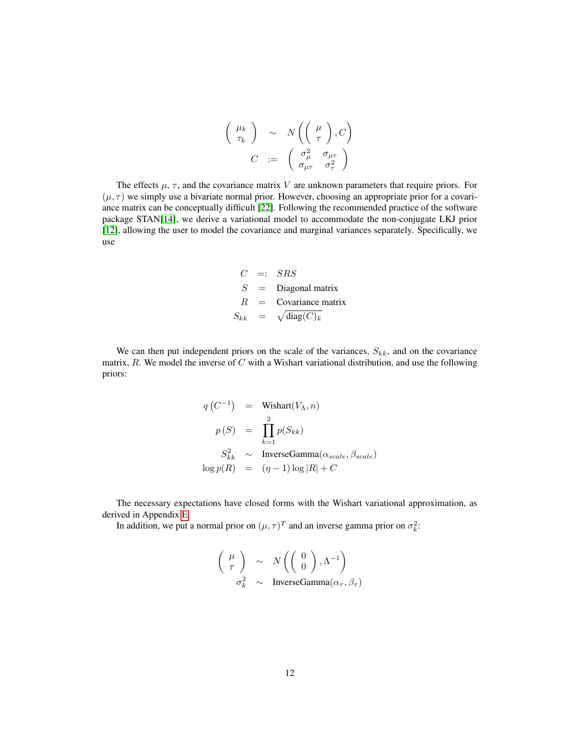$$
\begin{pmatrix}\n\mu_k \\
\tau_k\n\end{pmatrix}\n\sim N\left(\begin{pmatrix}\n\mu \\
\tau\n\end{pmatrix}, C\right)
$$
\n
$$
C := \begin{pmatrix}\n\sigma_\mu^2 & \sigma_{\mu\tau} \\
\sigma_{\mu\tau} & \sigma_\tau^2\n\end{pmatrix}
$$

The effects  $\mu$ ,  $\tau$ , and the covariance matrix V are unknown parameters that require priors. For  $(\mu, \tau)$  we simply use a bivariate normal prior. However, choosing an appropriate prior for a covariance matrix can be conceptually difficult [\[22\]](#page-5-9). Following the recommended practice of the software package STAN[\[14\]](#page-5-1), we derive a variational model to accommodate the non-conjugate LKJ prior [\[12\]](#page-4-10), allowing the user to model the covariance and marginal variances separately. Specifically, we use

$$
C =: SRS
$$
  
\n
$$
S = Diagonal matrix
$$
  
\n
$$
R = Covariance matrix
$$
  
\n
$$
S_{kk} = \sqrt{diag(C)_k}
$$

We can then put independent priors on the scale of the variances,  $S_{kk}$ , and on the covariance matrix,  $R$ . We model the inverse of  $C$  with a Wishart variational distribution, and use the following priors:

$$
q(C^{-1}) = \text{Wishart}(V_{\Lambda}, n)
$$
  
\n
$$
p(S) = \prod_{k=1}^{2} p(S_{kk})
$$
  
\n
$$
S_{kk}^{2} \sim \text{InverseGamma}(\alpha_{scale}, \beta_{scale})
$$
  
\n
$$
\log p(R) = (\eta - 1) \log |R| + C
$$

The necessary expectations have closed forms with the Wishart variational approximation, as derived in Appendix [E.](#page-13-0)

In addition, we put a normal prior on  $(\mu, \tau)^T$  and an inverse gamma prior on  $\sigma_k^2$ .

$$
\begin{pmatrix}\n\mu \\
\tau\n\end{pmatrix}\n\sim N\left(\begin{pmatrix}\n0 \\
0\n\end{pmatrix}, \Lambda^{-1}\right)
$$
\n
$$
\sigma_k^2 \sim \text{InverseGamma}(\alpha_\tau, \beta_\tau)
$$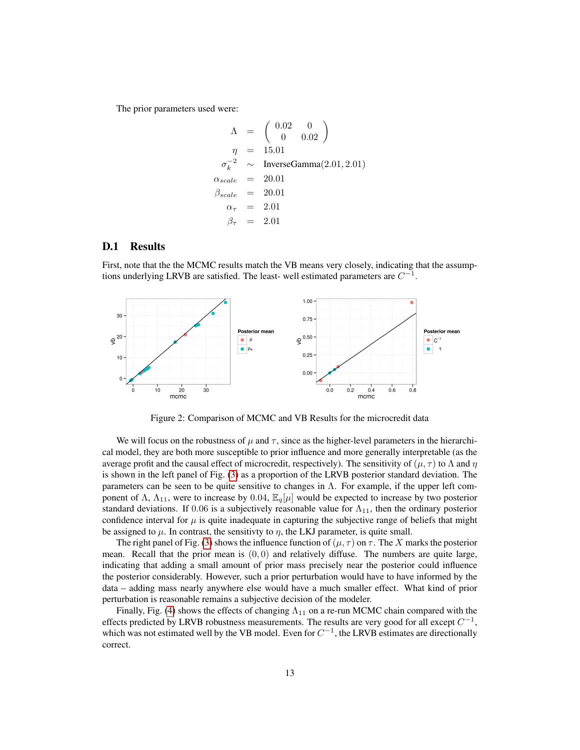The prior parameters used were:

$$
\Lambda = \begin{pmatrix} 0.02 & 0 \\ 0 & 0.02 \end{pmatrix}
$$
  
\n
$$
\eta = 15.01
$$
  
\n
$$
\sigma_k^{-2} \sim \text{InverseGamma}(2.01, 2.01)
$$
  
\n
$$
\alpha_{scale} = 20.01
$$
  
\n
$$
\beta_{scale} = 20.01
$$
  
\n
$$
\alpha_{\tau} = 2.01
$$
  
\n
$$
\beta_{\tau} = 2.01
$$

#### D.1 Results

First, note that the the MCMC results match the VB means very closely, indicating that the assumptions underlying LRVB are satisfied. The least- well estimated parameters are  $C^{-1}$ .



Figure 2: Comparison of MCMC and VB Results for the microcredit data

We will focus on the robustness of  $\mu$  and  $\tau$ , since as the higher-level parameters in the hierarchical model, they are both more susceptible to prior influence and more generally interpretable (as the average profit and the causal effect of microcredit, respectively). The sensitivity of  $(\mu, \tau)$  to  $\Lambda$  and  $\eta$ is shown in the left panel of Fig. [\(3\)](#page-13-1) as a proportion of the LRVB posterior standard deviation. The parameters can be seen to be quite sensitive to changes in  $\Lambda$ . For example, if the upper left component of  $\Lambda$ ,  $\Lambda_{11}$ , were to increase by 0.04,  $\mathbb{E}_q[\mu]$  would be expected to increase by two posterior standard deviations. If 0.06 is a subjectively reasonable value for  $\Lambda_{11}$ , then the ordinary posterior confidence interval for  $\mu$  is quite inadequate in capturing the subjective range of beliefs that might be assigned to  $\mu$ . In contrast, the sensitivty to  $\eta$ , the LKJ parameter, is quite small.

The right panel of Fig. [\(3\)](#page-13-1) shows the influence function of  $(\mu, \tau)$  on  $\tau$ . The X marks the posterior mean. Recall that the prior mean is  $(0,0)$  and relatively diffuse. The numbers are quite large, indicating that adding a small amount of prior mass precisely near the posterior could influence the posterior considerably. However, such a prior perturbation would have to have informed by the data – adding mass nearly anywhere else would have a much smaller effect. What kind of prior perturbation is reasonable remains a subjective decision of the modeler.

Finally, Fig. [\(4\)](#page-13-2) shows the effects of changing  $\Lambda_{11}$  on a re-run MCMC chain compared with the effects predicted by LRVB robustness measurements. The results are very good for all except  $C^{-1}$ , which was not estimated well by the VB model. Even for  $C^{-1}$ , the LRVB estimates are directionally correct.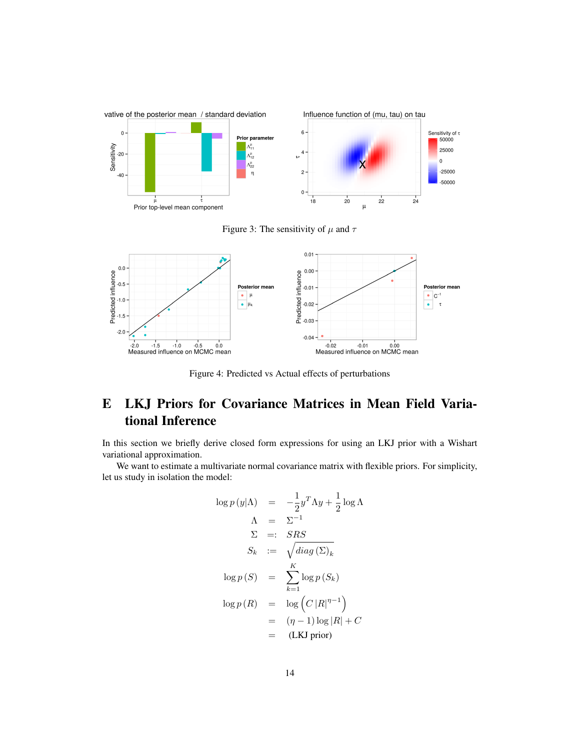<span id="page-13-1"></span>

Figure 3: The sensitivity of  $\mu$  and  $\tau$ 

<span id="page-13-2"></span>

Figure 4: Predicted vs Actual effects of perturbations

## <span id="page-13-0"></span>E LKJ Priors for Covariance Matrices in Mean Field Variational Inference

In this section we briefly derive closed form expressions for using an LKJ prior with a Wishart variational approximation.

We want to estimate a multivariate normal covariance matrix with flexible priors. For simplicity, let us study in isolation the model:

$$
\log p(y|\Lambda) = -\frac{1}{2}y^T \Lambda y + \frac{1}{2}\log \Lambda
$$
  
\n
$$
\Lambda = \Sigma^{-1}
$$
  
\n
$$
\Sigma =: SRS
$$
  
\n
$$
S_k := \sqrt{diag(\Sigma)_k}
$$
  
\n
$$
\log p(S) = \sum_{k=1}^K \log p(S_k)
$$
  
\n
$$
\log p(R) = \log (C|R|^{n-1})
$$
  
\n
$$
= (\eta - 1)\log |R| + C
$$
  
\n
$$
= (LKJ prior)
$$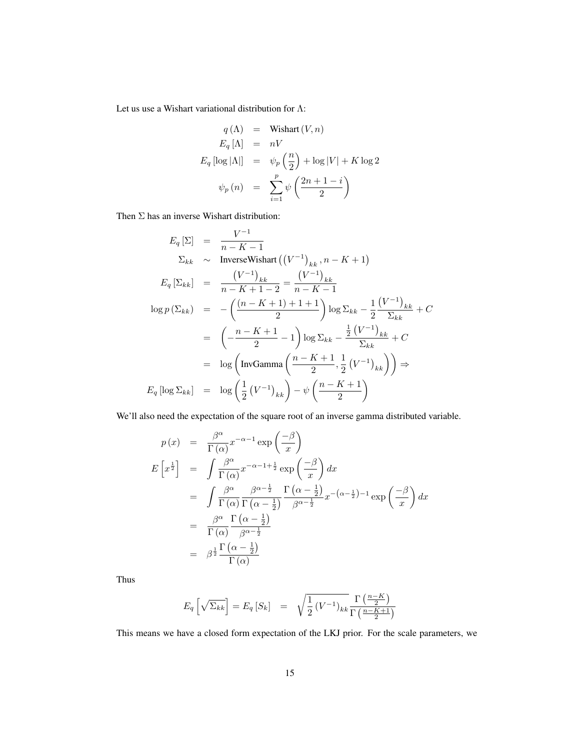Let us use a Wishart variational distribution for  $\Lambda$ :

$$
q(\Lambda) = \text{Wishart}(V, n)
$$
  
\n
$$
E_q[\Lambda] = nV
$$
  
\n
$$
E_q[\log|\Lambda|] = \psi_p\left(\frac{n}{2}\right) + \log|V| + K \log 2
$$
  
\n
$$
\psi_p(n) = \sum_{i=1}^p \psi\left(\frac{2n+1-i}{2}\right)
$$

Then Σ has an inverse Wishart distribution:

$$
E_q[\Sigma] = \frac{V^{-1}}{n - K - 1}
$$
  
\n
$$
\Sigma_{kk} \sim \text{InverseWishart}((V^{-1})_{kk}, n - K + 1)
$$
  
\n
$$
E_q[\Sigma_{kk}] = \frac{(V^{-1})_{kk}}{n - K + 1 - 2} = \frac{(V^{-1})_{kk}}{n - K - 1}
$$
  
\n
$$
\log p(\Sigma_{kk}) = -\left(\frac{(n - K + 1) + 1 + 1}{2}\right) \log \Sigma_{kk} - \frac{1}{2} \frac{(V^{-1})_{kk}}{\Sigma_{kk}} + C
$$
  
\n
$$
= \left(-\frac{n - K + 1}{2} - 1\right) \log \Sigma_{kk} - \frac{\frac{1}{2}(V^{-1})_{kk}}{\Sigma_{kk}} + C
$$
  
\n
$$
= \log \left(\text{InvGamma}\left(\frac{n - K + 1}{2}, \frac{1}{2}(V^{-1})_{kk}\right)\right) \Rightarrow
$$
  
\n
$$
E_q[\log \Sigma_{kk}] = \log \left(\frac{1}{2}(V^{-1})_{kk}\right) - \psi \left(\frac{n - K + 1}{2}\right)
$$

We'll also need the expectation of the square root of an inverse gamma distributed variable.

$$
p(x) = \frac{\beta^{\alpha}}{\Gamma(\alpha)} x^{-\alpha - 1} \exp\left(\frac{-\beta}{x}\right)
$$
  
\n
$$
E\left[x^{\frac{1}{2}}\right] = \int \frac{\beta^{\alpha}}{\Gamma(\alpha)} x^{-\alpha - 1 + \frac{1}{2}} \exp\left(\frac{-\beta}{x}\right) dx
$$
  
\n
$$
= \int \frac{\beta^{\alpha}}{\Gamma(\alpha)} \frac{\beta^{\alpha - \frac{1}{2}}}{\Gamma(\alpha - \frac{1}{2})} \frac{\Gamma(\alpha - \frac{1}{2})}{\beta^{\alpha - \frac{1}{2}}} x^{-(\alpha - \frac{1}{2}) - 1} \exp\left(\frac{-\beta}{x}\right) dx
$$
  
\n
$$
= \frac{\beta^{\alpha}}{\Gamma(\alpha)} \frac{\Gamma(\alpha - \frac{1}{2})}{\beta^{\alpha - \frac{1}{2}}}
$$
  
\n
$$
= \beta^{\frac{1}{2}} \frac{\Gamma(\alpha - \frac{1}{2})}{\Gamma(\alpha)}
$$

Thus

$$
E_q\left[\sqrt{\Sigma_{kk}}\right] = E_q\left[S_k\right] = \sqrt{\frac{1}{2}\left(V^{-1}\right)_{kk}} \frac{\Gamma\left(\frac{n-K}{2}\right)}{\Gamma\left(\frac{n-K+1}{2}\right)}
$$

This means we have a closed form expectation of the LKJ prior. For the scale parameters, we